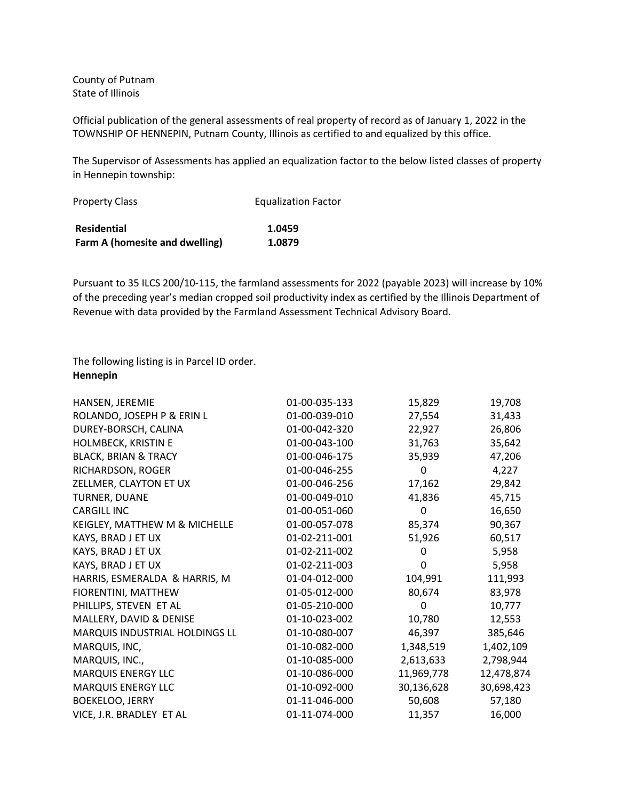County of Putnam State of Illinois

Official publication of the general assessments of real property of record as of January 1, 2022 in the TOWNSHIP OF HENNEPIN, Putnam County, Illinois as certified to and equalized by this office.

The Supervisor of Assessments has applied an equalization factor to the below listed classes of property in Hennepin township:

| <b>Property Class</b>          | <b>Equalization Factor</b> |  |
|--------------------------------|----------------------------|--|
| <b>Residential</b>             | 1.0459                     |  |
| Farm A (homesite and dwelling) | 1.0879                     |  |

Pursuant to 35 ILCS 200/10-115, the farmland assessments for 2022 (payable 2023) will increase by 10% of the preceding year's median cropped soil productivity index as certified by the Illinois Department of Revenue with data provided by the Farmland Assessment Technical Advisory Board.

The following listing is in Parcel ID order. **Hennepin**

| HANSEN, JEREMIE                 | 01-00-035-133 | 15,829      | 19,708     |
|---------------------------------|---------------|-------------|------------|
| ROLANDO, JOSEPH P & ERIN L      | 01-00-039-010 | 27,554      | 31,433     |
| DUREY-BORSCH, CALINA            | 01-00-042-320 | 22,927      | 26,806     |
| HOLMBECK, KRISTIN E             | 01-00-043-100 | 31,763      | 35,642     |
| <b>BLACK, BRIAN &amp; TRACY</b> | 01-00-046-175 | 35,939      | 47,206     |
| RICHARDSON, ROGER               | 01-00-046-255 | 0           | 4,227      |
| ZELLMER, CLAYTON ET UX          | 01-00-046-256 | 17,162      | 29,842     |
| TURNER, DUANE                   | 01-00-049-010 | 41,836      | 45,715     |
| <b>CARGILL INC</b>              | 01-00-051-060 | $\Omega$    | 16,650     |
| KEIGLEY, MATTHEW M & MICHELLE   | 01-00-057-078 | 85,374      | 90,367     |
| KAYS, BRAD J ET UX              | 01-02-211-001 | 51,926      | 60,517     |
| KAYS, BRAD J ET UX              | 01-02-211-002 | 0           | 5,958      |
| KAYS, BRAD J ET UX              | 01-02-211-003 | 0           | 5,958      |
| HARRIS, ESMERALDA & HARRIS, M   | 01-04-012-000 | 104,991     | 111,993    |
| FIORENTINI, MATTHEW             | 01-05-012-000 | 80,674      | 83,978     |
| PHILLIPS, STEVEN ET AL          | 01-05-210-000 | $\mathbf 0$ | 10,777     |
| MALLERY, DAVID & DENISE         | 01-10-023-002 | 10,780      | 12,553     |
| MARQUIS INDUSTRIAL HOLDINGS LL  | 01-10-080-007 | 46,397      | 385,646    |
| MARQUIS, INC,                   | 01-10-082-000 | 1,348,519   | 1,402,109  |
| MARQUIS, INC.,                  | 01-10-085-000 | 2,613,633   | 2,798,944  |
| <b>MARQUIS ENERGY LLC</b>       | 01-10-086-000 | 11,969,778  | 12,478,874 |
| <b>MARQUIS ENERGY LLC</b>       | 01-10-092-000 | 30,136,628  | 30,698,423 |
| <b>BOEKELOO, JERRY</b>          | 01-11-046-000 | 50,608      | 57,180     |
| VICE, J.R. BRADLEY ET AL        | 01-11-074-000 | 11,357      | 16,000     |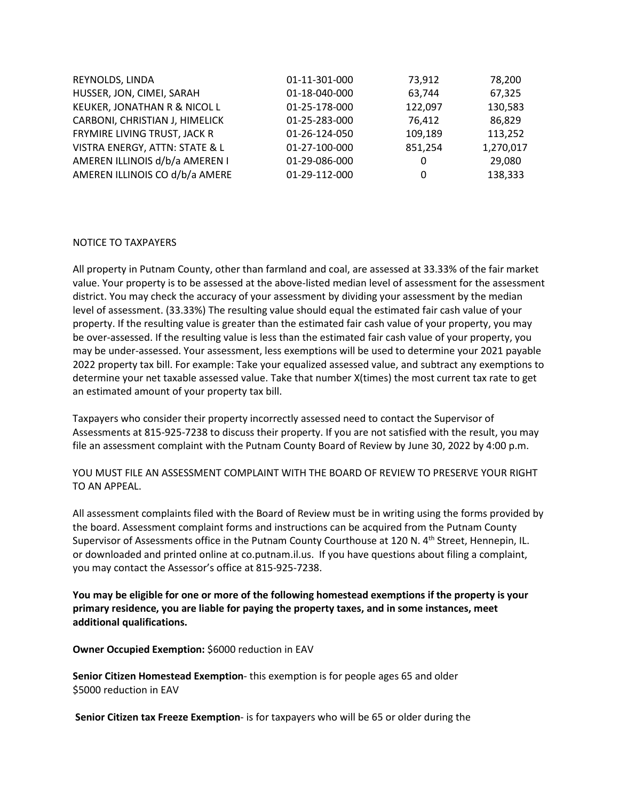| REYNOLDS, LINDA                | 01-11-301-000 | 73,912  | 78,200    |
|--------------------------------|---------------|---------|-----------|
| HUSSER, JON, CIMEI, SARAH      | 01-18-040-000 | 63,744  | 67,325    |
| KEUKER, JONATHAN R & NICOL L   | 01-25-178-000 | 122,097 | 130,583   |
| CARBONI, CHRISTIAN J, HIMELICK | 01-25-283-000 | 76,412  | 86,829    |
| FRYMIRE LIVING TRUST, JACK R   | 01-26-124-050 | 109,189 | 113,252   |
| VISTRA ENERGY, ATTN: STATE & L | 01-27-100-000 | 851,254 | 1,270,017 |
| AMEREN ILLINOIS d/b/a AMEREN I | 01-29-086-000 | 0       | 29,080    |
| AMEREN ILLINOIS CO d/b/a AMERE | 01-29-112-000 | 0       | 138,333   |
|                                |               |         |           |

## NOTICE TO TAXPAYERS

All property in Putnam County, other than farmland and coal, are assessed at 33.33% of the fair market value. Your property is to be assessed at the above-listed median level of assessment for the assessment district. You may check the accuracy of your assessment by dividing your assessment by the median level of assessment. (33.33%) The resulting value should equal the estimated fair cash value of your property. If the resulting value is greater than the estimated fair cash value of your property, you may be over-assessed. If the resulting value is less than the estimated fair cash value of your property, you may be under-assessed. Your assessment, less exemptions will be used to determine your 2021 payable 2022 property tax bill. For example: Take your equalized assessed value, and subtract any exemptions to determine your net taxable assessed value. Take that number X(times) the most current tax rate to get an estimated amount of your property tax bill.

Taxpayers who consider their property incorrectly assessed need to contact the Supervisor of Assessments at 815-925-7238 to discuss their property. If you are not satisfied with the result, you may file an assessment complaint with the Putnam County Board of Review by June 30, 2022 by 4:00 p.m.

YOU MUST FILE AN ASSESSMENT COMPLAINT WITH THE BOARD OF REVIEW TO PRESERVE YOUR RIGHT TO AN APPEAL.

All assessment complaints filed with the Board of Review must be in writing using the forms provided by the board. Assessment complaint forms and instructions can be acquired from the Putnam County Supervisor of Assessments office in the Putnam County Courthouse at 120 N. 4<sup>th</sup> Street, Hennepin, IL. or downloaded and printed online at co.putnam.il.us. If you have questions about filing a complaint, you may contact the Assessor's office at 815-925-7238.

**You may be eligible for one or more of the following homestead exemptions if the property is your primary residence, you are liable for paying the property taxes, and in some instances, meet additional qualifications.**

**Owner Occupied Exemption:** \$6000 reduction in EAV

**Senior Citizen Homestead Exemption**- this exemption is for people ages 65 and older \$5000 reduction in EAV

**Senior Citizen tax Freeze Exemption**- is for taxpayers who will be 65 or older during the